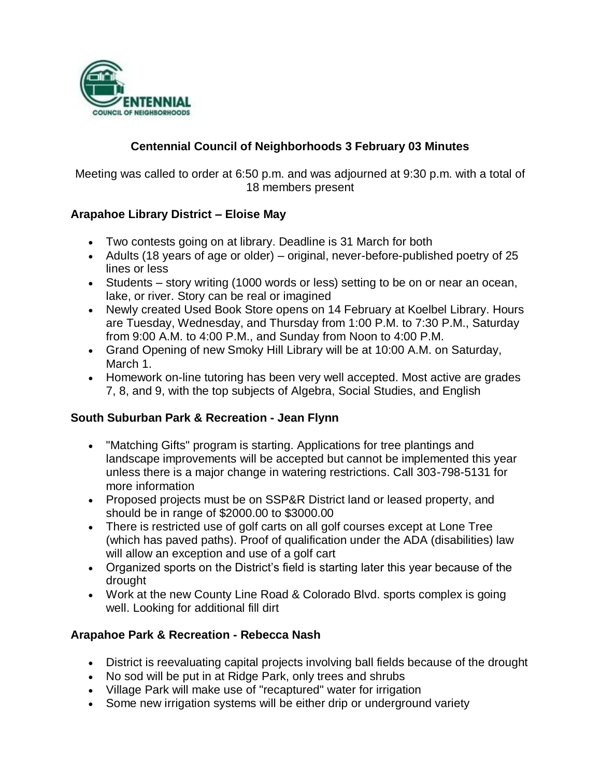

## **Centennial Council of Neighborhoods 3 February 03 Minutes**

Meeting was called to order at 6:50 p.m. and was adjourned at 9:30 p.m. with a total of 18 members present

### **Arapahoe Library District – Eloise May**

- Two contests going on at library. Deadline is 31 March for both
- Adults (18 years of age or older) original, never-before-published poetry of 25 lines or less
- Students story writing (1000 words or less) setting to be on or near an ocean, lake, or river. Story can be real or imagined
- Newly created Used Book Store opens on 14 February at Koelbel Library. Hours are Tuesday, Wednesday, and Thursday from 1:00 P.M. to 7:30 P.M., Saturday from 9:00 A.M. to 4:00 P.M., and Sunday from Noon to 4:00 P.M.
- Grand Opening of new Smoky Hill Library will be at 10:00 A.M. on Saturday, March 1.
- Homework on-line tutoring has been very well accepted. Most active are grades 7, 8, and 9, with the top subjects of Algebra, Social Studies, and English

#### **South Suburban Park & Recreation - Jean Flynn**

- "Matching Gifts" program is starting. Applications for tree plantings and landscape improvements will be accepted but cannot be implemented this year unless there is a major change in watering restrictions. Call 303-798-5131 for more information
- Proposed projects must be on SSP&R District land or leased property, and should be in range of \$2000.00 to \$3000.00
- There is restricted use of golf carts on all golf courses except at Lone Tree (which has paved paths). Proof of qualification under the ADA (disabilities) law will allow an exception and use of a golf cart
- Organized sports on the District's field is starting later this year because of the drought
- Work at the new County Line Road & Colorado Blvd. sports complex is going well. Looking for additional fill dirt

### **Arapahoe Park & Recreation - Rebecca Nash**

- District is reevaluating capital projects involving ball fields because of the drought
- No sod will be put in at Ridge Park, only trees and shrubs
- Village Park will make use of "recaptured" water for irrigation
- Some new irrigation systems will be either drip or underground variety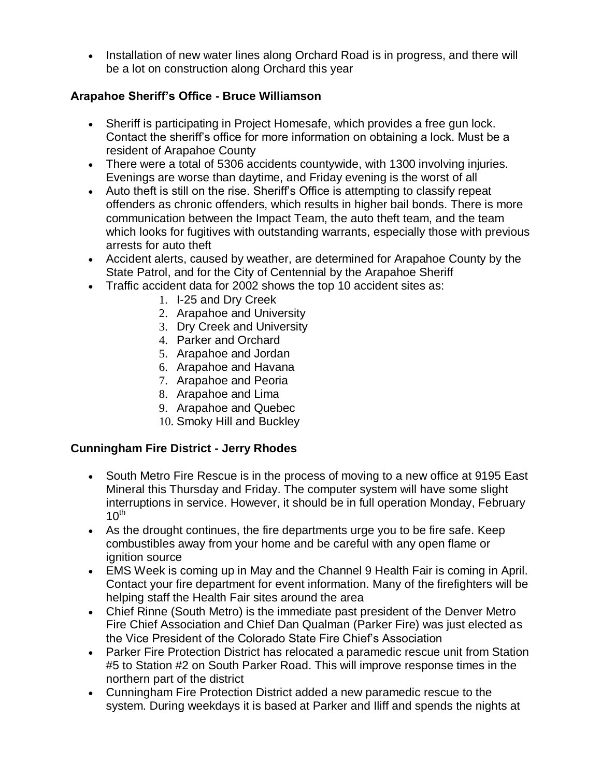• Installation of new water lines along Orchard Road is in progress, and there will be a lot on construction along Orchard this year

## **Arapahoe Sheriff's Office - Bruce Williamson**

- Sheriff is participating in Project Homesafe, which provides a free gun lock. Contact the sheriff's office for more information on obtaining a lock. Must be a resident of Arapahoe County
- There were a total of 5306 accidents countywide, with 1300 involving injuries. Evenings are worse than daytime, and Friday evening is the worst of all
- Auto theft is still on the rise. Sheriff's Office is attempting to classify repeat offenders as chronic offenders, which results in higher bail bonds. There is more communication between the Impact Team, the auto theft team, and the team which looks for fugitives with outstanding warrants, especially those with previous arrests for auto theft
- Accident alerts, caused by weather, are determined for Arapahoe County by the State Patrol, and for the City of Centennial by the Arapahoe Sheriff
- Traffic accident data for 2002 shows the top 10 accident sites as:
	- 1. I-25 and Dry Creek
	- 2. Arapahoe and University
	- 3. Dry Creek and University
	- 4. Parker and Orchard
	- 5. Arapahoe and Jordan
	- 6. Arapahoe and Havana
	- 7. Arapahoe and Peoria
	- 8. Arapahoe and Lima
	- 9. Arapahoe and Quebec
	- 10. Smoky Hill and Buckley

### **Cunningham Fire District - Jerry Rhodes**

- South Metro Fire Rescue is in the process of moving to a new office at 9195 East Mineral this Thursday and Friday. The computer system will have some slight interruptions in service. However, it should be in full operation Monday, February 1 $0^{\text{th}}$
- As the drought continues, the fire departments urge you to be fire safe. Keep combustibles away from your home and be careful with any open flame or ignition source
- EMS Week is coming up in May and the Channel 9 Health Fair is coming in April. Contact your fire department for event information. Many of the firefighters will be helping staff the Health Fair sites around the area
- Chief Rinne (South Metro) is the immediate past president of the Denver Metro Fire Chief Association and Chief Dan Qualman (Parker Fire) was just elected as the Vice President of the Colorado State Fire Chief's Association
- Parker Fire Protection District has relocated a paramedic rescue unit from Station #5 to Station #2 on South Parker Road. This will improve response times in the northern part of the district
- Cunningham Fire Protection District added a new paramedic rescue to the system. During weekdays it is based at Parker and Iliff and spends the nights at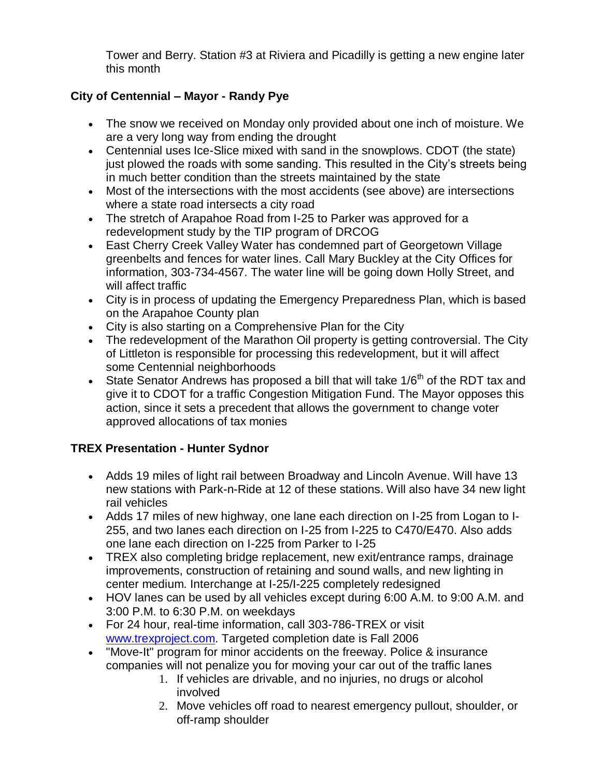Tower and Berry. Station #3 at Riviera and Picadilly is getting a new engine later this month

# **City of Centennial – Mayor - Randy Pye**

- The snow we received on Monday only provided about one inch of moisture. We are a very long way from ending the drought
- Centennial uses Ice-Slice mixed with sand in the snowplows. CDOT (the state) just plowed the roads with some sanding. This resulted in the City's streets being in much better condition than the streets maintained by the state
- Most of the intersections with the most accidents (see above) are intersections where a state road intersects a city road
- The stretch of Arapahoe Road from I-25 to Parker was approved for a redevelopment study by the TIP program of DRCOG
- East Cherry Creek Valley Water has condemned part of Georgetown Village greenbelts and fences for water lines. Call Mary Buckley at the City Offices for information, 303-734-4567. The water line will be going down Holly Street, and will affect traffic
- City is in process of updating the Emergency Preparedness Plan, which is based on the Arapahoe County plan
- City is also starting on a Comprehensive Plan for the City
- The redevelopment of the Marathon Oil property is getting controversial. The City of Littleton is responsible for processing this redevelopment, but it will affect some Centennial neighborhoods
- State Senator Andrews has proposed a bill that will take  $1/6<sup>th</sup>$  of the RDT tax and give it to CDOT for a traffic Congestion Mitigation Fund. The Mayor opposes this action, since it sets a precedent that allows the government to change voter approved allocations of tax monies

# **TREX Presentation - Hunter Sydnor**

- Adds 19 miles of light rail between Broadway and Lincoln Avenue. Will have 13 new stations with Park-n-Ride at 12 of these stations. Will also have 34 new light rail vehicles
- Adds 17 miles of new highway, one lane each direction on I-25 from Logan to I-255, and two lanes each direction on I-25 from I-225 to C470/E470. Also adds one lane each direction on I-225 from Parker to I-25
- TREX also completing bridge replacement, new exit/entrance ramps, drainage improvements, construction of retaining and sound walls, and new lighting in center medium. Interchange at I-25/I-225 completely redesigned
- HOV lanes can be used by all vehicles except during 6:00 A.M. to 9:00 A.M. and 3:00 P.M. to 6:30 P.M. on weekdays
- For 24 hour, real-time information, call 303-786-TREX or visit [www.trexproject.com.](http://www.trexproject.com/) Targeted completion date is Fall 2006
- "Move-It" program for minor accidents on the freeway. Police & insurance companies will not penalize you for moving your car out of the traffic lanes
	- 1. If vehicles are drivable, and no injuries, no drugs or alcohol involved
	- 2. Move vehicles off road to nearest emergency pullout, shoulder, or off-ramp shoulder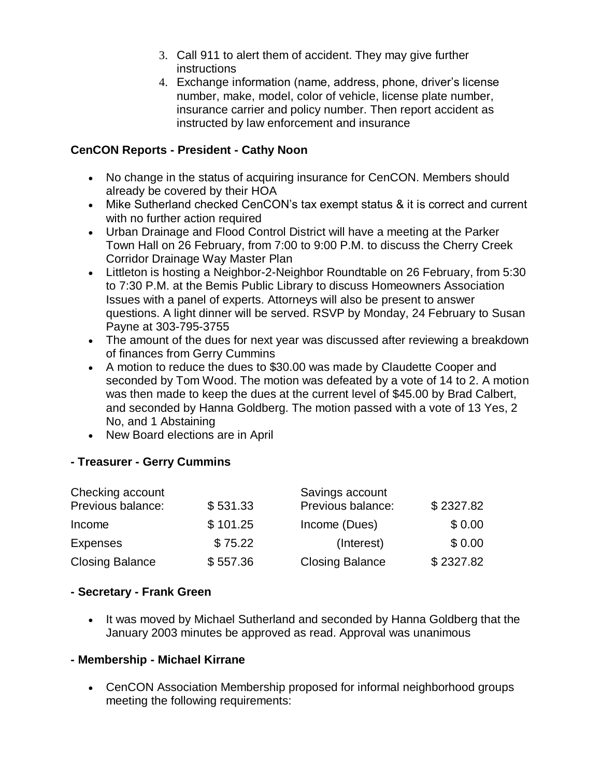- 3. Call 911 to alert them of accident. They may give further instructions
- 4. Exchange information (name, address, phone, driver's license number, make, model, color of vehicle, license plate number, insurance carrier and policy number. Then report accident as instructed by law enforcement and insurance

### **CenCON Reports - President - Cathy Noon**

- No change in the status of acquiring insurance for CenCON. Members should already be covered by their HOA
- Mike Sutherland checked CenCON's tax exempt status & it is correct and current with no further action required
- Urban Drainage and Flood Control District will have a meeting at the Parker Town Hall on 26 February, from 7:00 to 9:00 P.M. to discuss the Cherry Creek Corridor Drainage Way Master Plan
- Littleton is hosting a Neighbor-2-Neighbor Roundtable on 26 February, from 5:30 to 7:30 P.M. at the Bemis Public Library to discuss Homeowners Association Issues with a panel of experts. Attorneys will also be present to answer questions. A light dinner will be served. RSVP by Monday, 24 February to Susan Payne at 303-795-3755
- The amount of the dues for next year was discussed after reviewing a breakdown of finances from Gerry Cummins
- A motion to reduce the dues to \$30.00 was made by Claudette Cooper and seconded by Tom Wood. The motion was defeated by a vote of 14 to 2. A motion was then made to keep the dues at the current level of \$45.00 by Brad Calbert, and seconded by Hanna Goldberg. The motion passed with a vote of 13 Yes, 2 No, and 1 Abstaining
- New Board elections are in April

### **- Treasurer - Gerry Cummins**

| Checking account       |          | Savings account        |           |
|------------------------|----------|------------------------|-----------|
| Previous balance:      | \$531.33 | Previous balance:      | \$2327.82 |
| Income                 | \$101.25 | Income (Dues)          | \$0.00    |
| <b>Expenses</b>        | \$75.22  | (Interest)             | \$0.00    |
| <b>Closing Balance</b> | \$557.36 | <b>Closing Balance</b> | \$2327.82 |

#### **- Secretary - Frank Green**

• It was moved by Michael Sutherland and seconded by Hanna Goldberg that the January 2003 minutes be approved as read. Approval was unanimous

### **- Membership - Michael Kirrane**

 CenCON Association Membership proposed for informal neighborhood groups meeting the following requirements: